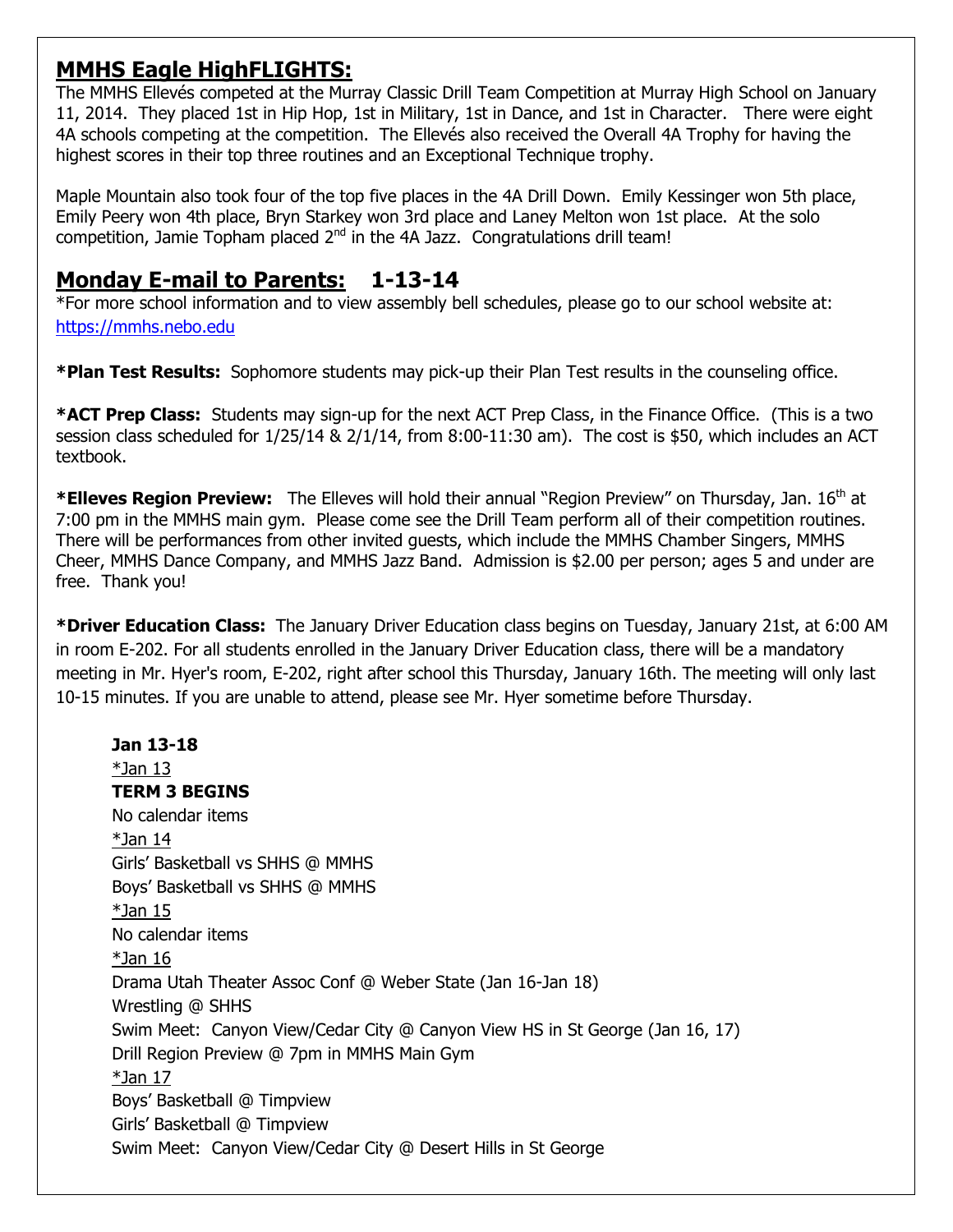# **MMHS Eagle HighFLIGHTS:**

The MMHS Ellevés competed at the Murray Classic Drill Team Competition at Murray High School on January 11, 2014. They placed 1st in Hip Hop, 1st in Military, 1st in Dance, and 1st in Character. There were eight 4A schools competing at the competition. The Ellevés also received the Overall 4A Trophy for having the highest scores in their top three routines and an Exceptional Technique trophy.

Maple Mountain also took four of the top five places in the 4A Drill Down. Emily Kessinger won 5th place, Emily Peery won 4th place, Bryn Starkey won 3rd place and Laney Melton won 1st place. At the solo competition, Jamie Topham placed  $2<sup>nd</sup>$  in the 4A Jazz. Congratulations drill team!

# **Monday E-mail to Parents: 1-13-14**

\*For more school information and to view assembly bell schedules, please go to our school website at: [https://mmhs.nebo.edu](https://mmhs.nebo.edu/)

**\*Plan Test Results:** Sophomore students may pick-up their Plan Test results in the counseling office.

**\*ACT Prep Class:** Students may sign-up for the next ACT Prep Class, in the Finance Office. (This is a two session class scheduled for 1/25/14 & 2/1/14, from 8:00-11:30 am). The cost is \$50, which includes an ACT textbook.

\***Elleves Region Preview:** The Elleves will hold their annual "Region Preview" on Thursday, Jan. 16<sup>th</sup> at 7:00 pm in the MMHS main gym. Please come see the Drill Team perform all of their competition routines. There will be performances from other invited guests, which include the MMHS Chamber Singers, MMHS Cheer, MMHS Dance Company, and MMHS Jazz Band. Admission is \$2.00 per person; ages 5 and under are free. Thank you!

**\*Driver Education Class:** The January Driver Education class begins on Tuesday, January 21st, at 6:00 AM in room E-202. For all students enrolled in the January Driver Education class, there will be a mandatory meeting in Mr. Hyer's room, E-202, right after school this Thursday, January 16th. The meeting will only last 10-15 minutes. If you are unable to attend, please see Mr. Hyer sometime before Thursday.

**Jan 13-18**  $*$ Jan 13 **TERM 3 BEGINS** No calendar items  $*$ Jan 14 Girls' Basketball vs SHHS @ MMHS Boys' Basketball vs SHHS @ MMHS  $*$ Jan 15 No calendar items \*Jan 16 Drama Utah Theater Assoc Conf @ Weber State (Jan 16-Jan 18) Wrestling @ SHHS Swim Meet: Canyon View/Cedar City @ Canyon View HS in St George (Jan 16, 17) Drill Region Preview @ 7pm in MMHS Main Gym \*Jan 17 Boys' Basketball @ Timpview Girls' Basketball @ Timpview Swim Meet: Canyon View/Cedar City @ Desert Hills in St George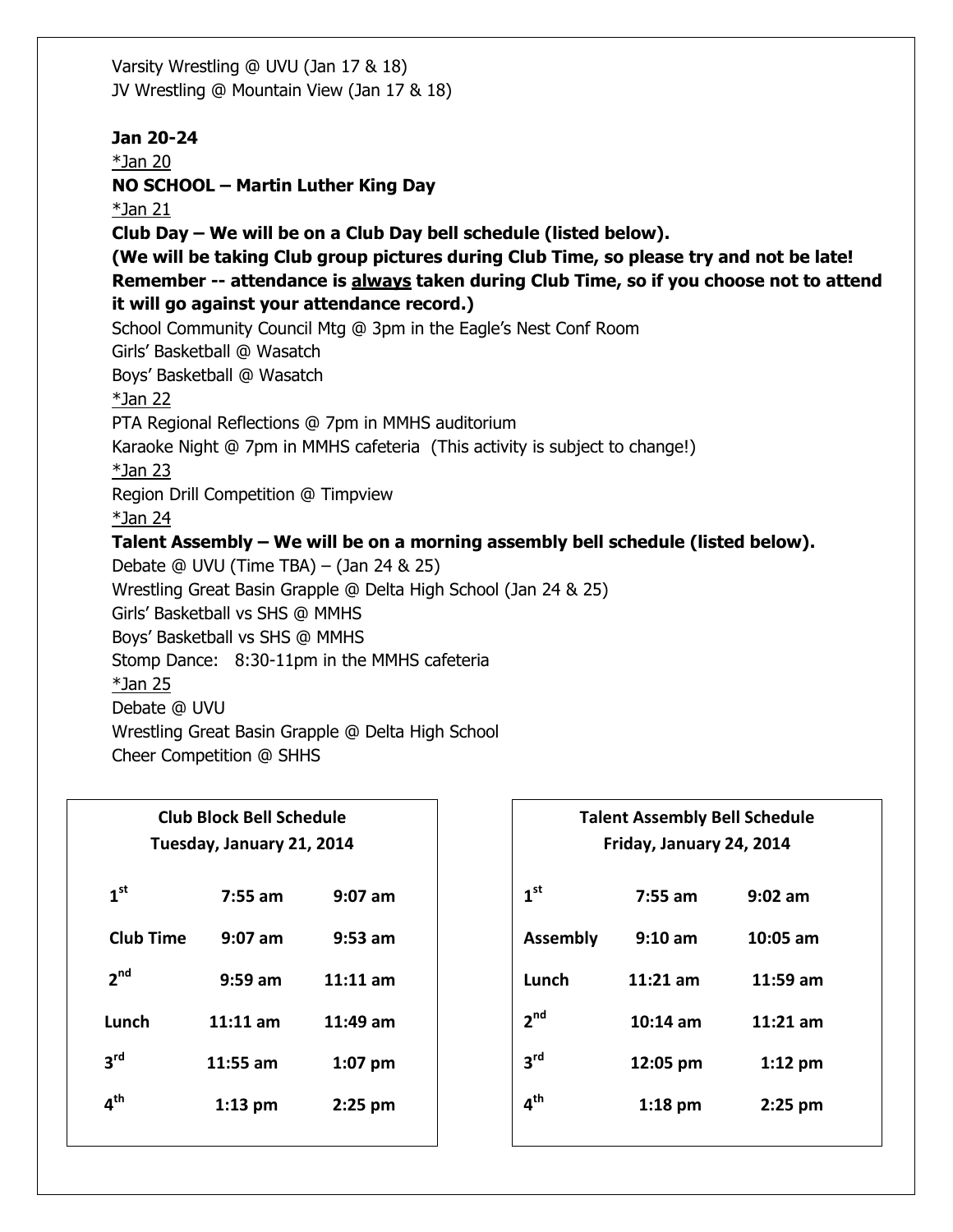Varsity Wrestling @ UVU (Jan 17 & 18) JV Wrestling @ Mountain View (Jan 17 & 18)

**Jan 20-24** \*Jan 20 **NO SCHOOL – Martin Luther King Day**  $*$ Jan 21 **Club Day – We will be on a Club Day bell schedule (listed below). (We will be taking Club group pictures during Club Time, so please try and not be late! Remember -- attendance is always taken during Club Time, so if you choose not to attend it will go against your attendance record.)** School Community Council Mtg @ 3pm in the Eagle's Nest Conf Room Girls' Basketball @ Wasatch Boys' Basketball @ Wasatch \*Jan 22 PTA Regional Reflections @ 7pm in MMHS auditorium Karaoke Night @ 7pm in MMHS cafeteria (This activity is subject to change!) \*Jan 23 Region Drill Competition @ Timpview  $*$ Jan 24 **Talent Assembly – We will be on a morning assembly bell schedule (listed below).** Debate @ UVU (Time TBA) – (Jan 24 & 25) Wrestling Great Basin Grapple @ Delta High School (Jan 24 & 25) Girls' Basketball vs SHS @ MMHS Boys' Basketball vs SHS @ MMHS Stomp Dance: 8:30-11pm in the MMHS cafeteria \*Jan 25 Debate @ UVU Wrestling Great Basin Grapple @ Delta High School Cheer Competition @ SHHS

**3 rd**

**4 th**

| <b>Club Block Bell Schedule</b> |            |            |  |
|---------------------------------|------------|------------|--|
| Tuesday, January 21, 2014       |            |            |  |
| 1 <sup>st</sup>                 | 7:55 am    | $9:07$ am  |  |
| <b>Club Time</b>                | 9:07 am    | $9:53$ am  |  |
| 2 <sup>nd</sup>                 | $9:59$ am  | $11:11$ am |  |
| Lunch                           | $11:11$ am | $11:49$ am |  |
| 3 <sup>rd</sup>                 | 11:55 am   | $1:07$ pm  |  |
| 4 <sup>th</sup>                 | $1:13$ pm  | $2:25$ pm  |  |

| Friday, January 24, 2014 |                    |            |
|--------------------------|--------------------|------------|
| 1 <sup>st</sup>          | $7:55$ am          | $9:02$ am  |
| <b>Assembly</b>          | $9:10$ am          | $10:05$ am |
| Lunch                    | $11:21$ am         | $11:59$ am |
| 2 <sup>nd</sup>          | $10:14 \text{ am}$ | $11:21$ am |

 **12:05 pm 1:12 pm**

 **1:18 pm 2:25 pm**

**Talent Assembly Bell Schedule**